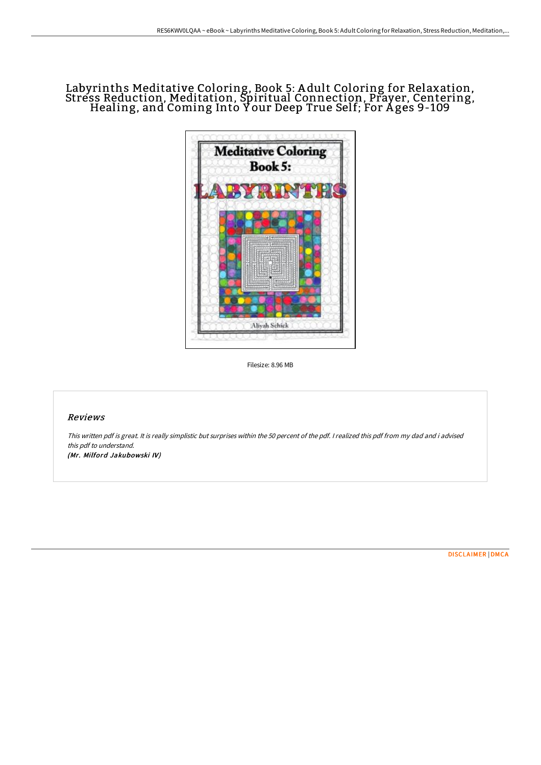# Labyrinths Meditative Coloring, Book 5: A dult Coloring for Relaxation, Stress Reduction, Meditation, Spiritual Connection, Prayer, Centering,<br>Healing, and Coming Into Y our Deep True Self; For Ages 9-109



Filesize: 8.96 MB

## Reviews

This written pdf is great. It is really simplistic but surprises within the <sup>50</sup> percent of the pdf. <sup>I</sup> realized this pdf from my dad and i advised this pdf to understand. (Mr. Milford Jakubowski IV)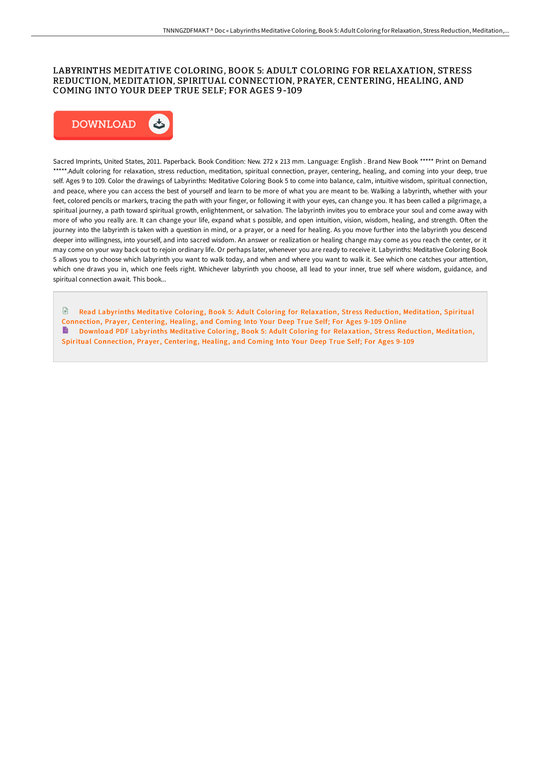## LABYRINTHS MEDITATIVE COLORING, BOOK 5: ADULT COLORING FOR RELAXATION, STRESS REDUCTION, MEDITATION, SPIRITUAL CONNECTION, PRAYER, CENTERING, HEALING, AND COMING INTO YOUR DEEP TRUE SELF; FOR AGES 9-109



Sacred Imprints, United States, 2011. Paperback. Book Condition: New. 272 x 213 mm. Language: English . Brand New Book \*\*\*\*\* Print on Demand \*\*\*\*\*.Adult coloring for relaxation, stress reduction, meditation, spiritual connection, prayer, centering, healing, and coming into your deep, true self. Ages 9 to 109. Color the drawings of Labyrinths: Meditative Coloring Book 5 to come into balance, calm, intuitive wisdom, spiritual connection, and peace, where you can access the best of yourself and learn to be more of what you are meant to be. Walking a labyrinth, whether with your feet, colored pencils or markers, tracing the path with your finger, or following it with your eyes, can change you. It has been called a pilgrimage, a spiritual journey, a path toward spiritual growth, enlightenment, or salvation. The labyrinth invites you to embrace your soul and come away with more of who you really are. It can change your life, expand what s possible, and open intuition, vision, wisdom, healing, and strength. Often the journey into the labyrinth is taken with a question in mind, or a prayer, or a need for healing. As you move further into the labyrinth you descend deeper into willingness, into yourself, and into sacred wisdom. An answer or realization or healing change may come as you reach the center, or it may come on your way back out to rejoin ordinary life. Or perhaps later, whenever you are ready to receive it. Labyrinths: Meditative Coloring Book 5 allows you to choose which labyrinth you want to walk today, and when and where you want to walk it. See which one catches your attention, which one draws you in, which one feels right. Whichever labyrinth you choose, all lead to your inner, true self where wisdom, guidance, and spiritual connection await. This book...

 $\mathbb{R}$ Read Labyrinths Meditative Coloring, Book 5: Adult Coloring for [Relaxation,](http://www.bookdirs.com/labyrinths-meditative-coloring-book-5-adult-colo.html) Stress Reduction, Meditation, Spiritual Connection, Prayer, Centering, Healing, and Coming Into Your Deep True Self; For Ages 9-109 Online B Download PDF Labyrinths Meditative Coloring, Book 5: Adult Coloring for Relaxation, Stress Reduction, Meditation, Spiritual [Connection,](http://www.bookdirs.com/labyrinths-meditative-coloring-book-5-adult-colo.html) Prayer, Centering, Healing, and Coming Into Your Deep True Self; For Ages 9-109